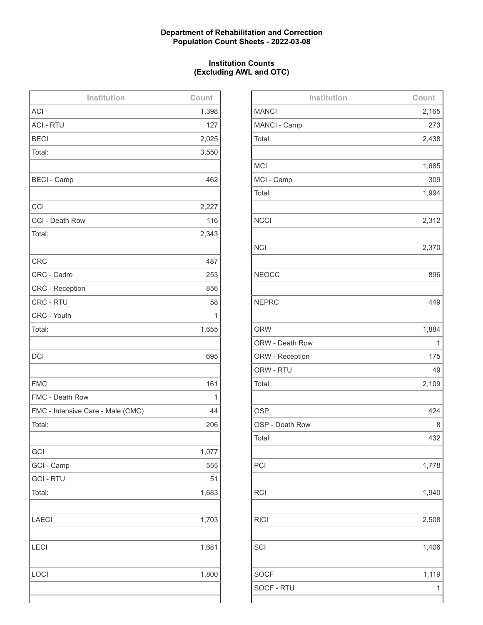## **Department of Rehabilitation and Correction Population Count Sheets - 2022-03-08**

## **Institution Counts (Excluding AWL and OTC)**

| Institution                       | Count |
|-----------------------------------|-------|
| <b>ACI</b>                        | 1,398 |
| <b>ACI - RTU</b>                  | 127   |
| <b>BECI</b>                       | 2,025 |
| Total:                            | 3,550 |
|                                   |       |
| <b>BECI - Camp</b>                | 462   |
|                                   |       |
| CCI                               | 2,227 |
| CCI - Death Row                   | 116   |
| Total:                            | 2,343 |
|                                   |       |
| <b>CRC</b>                        | 487   |
| CRC - Cadre                       | 253   |
| <b>CRC</b> - Reception            | 856   |
| CRC - RTU                         | 58    |
| CRC - Youth                       | 1     |
| Total:                            | 1,655 |
|                                   |       |
| <b>DCI</b>                        | 695   |
|                                   |       |
| <b>FMC</b>                        | 161   |
| FMC - Death Row                   | 1     |
| FMC - Intensive Care - Male (CMC) | 44    |
| Total:                            | 206   |
|                                   |       |
| GCI                               | 1,077 |
| GCI - Camp                        | 555   |
| <b>GCI - RTU</b>                  | 51    |
| Total:                            | 1,683 |
|                                   |       |
| <b>LAECI</b>                      | 1,703 |
|                                   |       |
| <b>LECI</b>                       | 1,681 |
|                                   |       |
| LOCI                              | 1,800 |
|                                   |       |
|                                   |       |

| Institution     | Count |
|-----------------|-------|
| <b>MANCI</b>    | 2,165 |
| MANCI - Camp    | 273   |
| Total:          | 2,438 |
|                 |       |
| <b>MCI</b>      | 1,685 |
| MCI - Camp      | 309   |
| Total:          | 1,994 |
|                 |       |
| <b>NCCI</b>     | 2,312 |
|                 |       |
| <b>NCI</b>      | 2,370 |
|                 |       |
| <b>NEOCC</b>    | 896   |
|                 |       |
| <b>NEPRC</b>    | 449   |
|                 |       |
| <b>ORW</b>      | 1,884 |
| ORW - Death Row | 1     |
| ORW - Reception | 175   |
| ORW - RTU       | 49    |
| Total:          | 2,109 |
|                 |       |
| <b>OSP</b>      | 424   |
| OSP - Death Row | 8     |
| Total:          | 432   |
|                 |       |
| PCI             | 1,778 |
|                 |       |
| <b>RCI</b>      | 1,940 |
|                 |       |
| <b>RICI</b>     | 2,508 |
|                 |       |
| SCI             | 1,406 |
|                 |       |
| <b>SOCF</b>     | 1,119 |
| SOCF - RTU      | 1     |
|                 |       |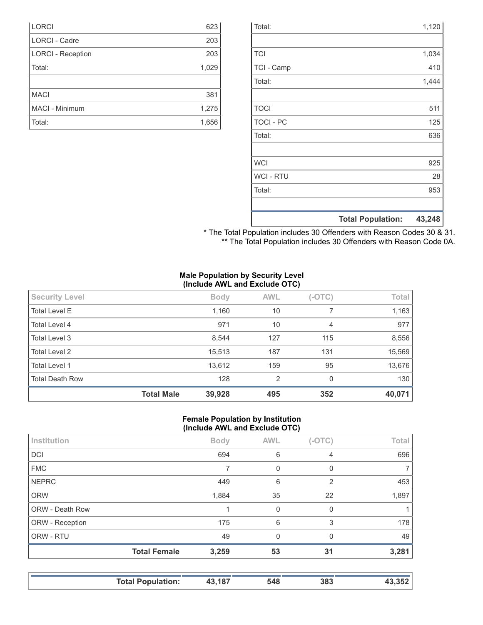|                  | <b>Total Population:</b> | 43,248 |
|------------------|--------------------------|--------|
|                  |                          |        |
| Total:           |                          | 953    |
| <b>WCI-RTU</b>   |                          | 28     |
| <b>WCI</b>       |                          | 925    |
|                  |                          |        |
| Total:           |                          | 636    |
| <b>TOCI - PC</b> |                          | 125    |
| <b>TOCI</b>      |                          | 511    |
|                  |                          |        |
| Total:           |                          | 1,444  |
| TCI - Camp       |                          | 410    |
| <b>TCI</b>       |                          | 1,034  |
|                  |                          |        |
| Total:           |                          | 1,120  |

| * The Total Population includes 30 Offenders with Reason Codes 30 & 31. |  |
|-------------------------------------------------------------------------|--|
| ** The Total Population includes 30 Offenders with Reason Code 0A.      |  |

#### **Male Population by Security Level (Include AWL and Exclude OTC)**

|                        | $\mathbf{v}$      |             |            |          |        |
|------------------------|-------------------|-------------|------------|----------|--------|
| <b>Security Level</b>  |                   | <b>Body</b> | <b>AWL</b> | $(-OTC)$ | Total  |
| <b>Total Level E</b>   |                   | 1,160       | 10         | 7        | 1,163  |
| Total Level 4          |                   | 971         | 10         | 4        | 977    |
| Total Level 3          |                   | 8,544       | 127        | 115      | 8,556  |
| <b>Total Level 2</b>   |                   | 15,513      | 187        | 131      | 15,569 |
| <b>Total Level 1</b>   |                   | 13,612      | 159        | 95       | 13,676 |
| <b>Total Death Row</b> |                   | 128         | 2          | 0        | 130    |
|                        | <b>Total Male</b> | 39,928      | 495        | 352      | 40,071 |

#### **Female Population by Institution (Include AWL and Exclude OTC)**

| Institution     |                     | <b>Body</b> | <b>AWL</b> | $(-OTC)$       | Total          |
|-----------------|---------------------|-------------|------------|----------------|----------------|
| <b>DCI</b>      |                     | 694         | 6          | 4              | 696            |
| <b>FMC</b>      |                     |             | 0          | 0              | 7 <sub>1</sub> |
| <b>NEPRC</b>    |                     | 449         | 6          | $\overline{2}$ | 453            |
| <b>ORW</b>      |                     | 1,884       | 35         | 22             | 1,897          |
| ORW - Death Row |                     |             | $\Omega$   | $\Omega$       |                |
| ORW - Reception |                     | 175         | 6          | 3              | 178            |
| ORW - RTU       |                     | 49          | $\Omega$   | $\Omega$       | 49             |
|                 | <b>Total Female</b> | 3,259       | 53         | 31             | 3,281          |
|                 |                     |             |            |                |                |

| <b>Total Population:</b> | 43,187 | 548 | 383 | 43.352 |
|--------------------------|--------|-----|-----|--------|
|                          |        |     |     |        |

| <b>LORCI</b>             | 623   |
|--------------------------|-------|
| <b>LORCI - Cadre</b>     | 203   |
| <b>LORCI - Reception</b> | 203   |
| Total:                   | 1,029 |
|                          |       |
| <b>MACI</b>              | 381   |
| MACI - Minimum           | 1,275 |
|                          |       |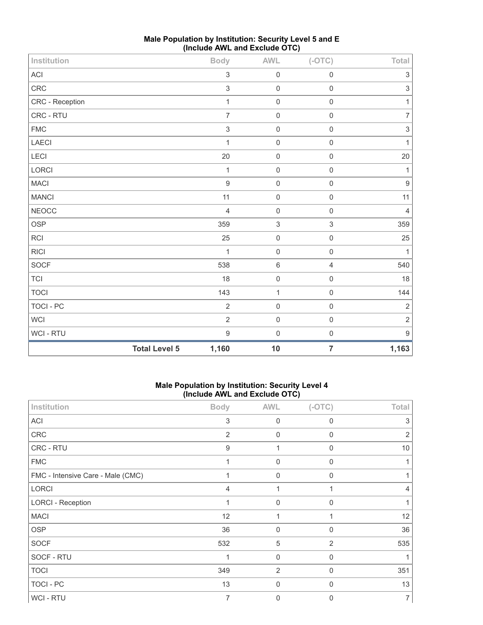| Institution     |                      | <b>Body</b>               | AWL                 | $(-OTC)$       | Total                     |
|-----------------|----------------------|---------------------------|---------------------|----------------|---------------------------|
| ACI             |                      | $\ensuremath{\mathsf{3}}$ | $\mathbf 0$         | $\mathbf 0$    | 3                         |
| CRC             |                      | $\mathfrak{S}$            | $\mathbf 0$         | $\mathbf 0$    | $\ensuremath{\mathsf{3}}$ |
| CRC - Reception |                      | $\mathbf{1}$              | $\mathbf 0$         | $\mathbf 0$    | $\mathbf{1}$              |
| CRC - RTU       |                      | $\overline{7}$            | $\mathbf 0$         | $\mathbf 0$    | $\overline{7}$            |
| <b>FMC</b>      |                      | $\sqrt{3}$                | $\mathbf 0$         | $\mathbf 0$    | $\ensuremath{\mathsf{3}}$ |
| LAECI           |                      | $\mathbf{1}$              | $\mathbf 0$         | $\mathbf 0$    | $\mathbf{1}$              |
| LECI            |                      | 20                        | $\mathbf 0$         | $\mathbf 0$    | 20                        |
| <b>LORCI</b>    |                      | $\mathbf{1}$              | $\mathbf 0$         | $\mathbf 0$    | 1                         |
| MACI            |                      | $\overline{9}$            | $\mathbf 0$         | $\mathbf 0$    | $\boldsymbol{9}$          |
| <b>MANCI</b>    |                      | 11                        | $\mathbf 0$         | $\mathbf 0$    | 11                        |
| <b>NEOCC</b>    |                      | $\overline{4}$            | $\mathbf 0$         | $\mathbf 0$    | $\overline{4}$            |
| OSP             |                      | 359                       | $\sqrt{3}$          | $\sqrt{3}$     | 359                       |
| RCI             |                      | 25                        | $\mathbf 0$         | $\mathbf 0$    | 25                        |
| <b>RICI</b>     |                      | $\mathbf{1}$              | $\mathbf 0$         | $\mathbf 0$    | $\mathbf{1}$              |
| SOCF            |                      | 538                       | $6\,$               | $\overline{4}$ | 540                       |
| <b>TCI</b>      |                      | 18                        | $\mathsf{O}\xspace$ | $\mathbf 0$    | 18                        |
| <b>TOCI</b>     |                      | 143                       | $\mathbf{1}$        | $\mathbf 0$    | 144                       |
| TOCI - PC       |                      | $\overline{2}$            | $\mathbf 0$         | $\mathbf 0$    | $\sqrt{2}$                |
| <b>WCI</b>      |                      | $\overline{2}$            | $\mathbf 0$         | $\mathbf 0$    | $\sqrt{2}$                |
| WCI - RTU       |                      | $\mathbf 9$               | $\mathbf 0$         | $\mathbf 0$    | $\boldsymbol{9}$          |
|                 | <b>Total Level 5</b> | 1,160                     | 10                  | $\overline{7}$ | 1,163                     |

# **Male Population by Institution: Security Level 5 and E (Include AWL and Exclude OTC)**

## **Male Population by Institution: Security Level 4 (Include AWL and Exclude OTC)**

| Institution                       | <b>Body</b>    | <b>AWL</b>       | $(-OTC)$       | <b>Total</b>   |
|-----------------------------------|----------------|------------------|----------------|----------------|
| ACI                               | $\sqrt{3}$     | $\boldsymbol{0}$ | $\mathbf 0$    | 3              |
| CRC                               | $\overline{2}$ | $\boldsymbol{0}$ | $\mathbf 0$    | $\overline{2}$ |
| CRC - RTU                         | 9              | 1                | $\mathbf 0$    | 10             |
| <b>FMC</b>                        | 1              | $\mathbf 0$      | $\mathbf{0}$   |                |
| FMC - Intensive Care - Male (CMC) |                | $\mathbf 0$      | $\mathbf 0$    |                |
| LORCI                             | 4              | 1                |                | 4              |
| <b>LORCI - Reception</b>          |                | $\mathbf 0$      | $\Omega$       |                |
| <b>MACI</b>                       | 12             | 1                |                | 12             |
| <b>OSP</b>                        | 36             | $\mathbf 0$      | $\mathbf 0$    | 36             |
| <b>SOCF</b>                       | 532            | $\sqrt{5}$       | $\overline{2}$ | 535            |
| SOCF - RTU                        |                | $\boldsymbol{0}$ | $\mathbf 0$    |                |
| <b>TOCI</b>                       | 349            | $\overline{2}$   | $\Omega$       | 351            |
| TOCI - PC                         | 13             | $\mathbf 0$      | $\mathbf 0$    | 13             |
| WCI - RTU                         | $\overline{7}$ | $\mathbf 0$      | $\Omega$       | $\overline{7}$ |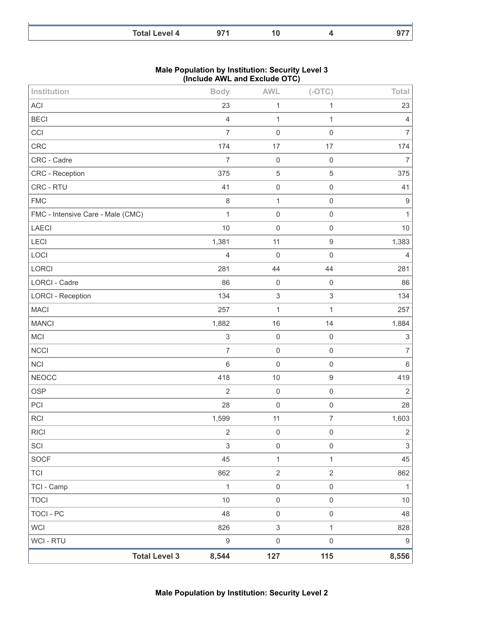| <b>Total Level 4</b> |  | . . |
|----------------------|--|-----|

#### **Male Population by Institution: Security Level 3 (Include AWL and Exclude OTC)**

| Institution                       |                      | <b>Body</b>               | <b>AWL</b>                | $(-OTC)$            | Total                     |
|-----------------------------------|----------------------|---------------------------|---------------------------|---------------------|---------------------------|
| ACI                               |                      | 23                        | $\mathbf{1}$              | 1                   | 23                        |
| <b>BECI</b>                       |                      | $\overline{4}$            | $\mathbf{1}$              | 1                   | 4                         |
| CCI                               |                      | $\overline{7}$            | $\mathbf 0$               | $\mathbf 0$         | $\overline{7}$            |
| CRC                               |                      | 174                       | 17                        | 17                  | 174                       |
| CRC - Cadre                       |                      | $\overline{7}$            | $\mathbf 0$               | $\mathbf 0$         | $\overline{7}$            |
| CRC - Reception                   |                      | 375                       | $\mathbf 5$               | 5                   | 375                       |
| CRC - RTU                         |                      | 41                        | $\mathbf 0$               | $\mathbf 0$         | 41                        |
| <b>FMC</b>                        |                      | $\,8\,$                   | $\mathbf{1}$              | $\mathsf{O}\xspace$ | $9\,$                     |
| FMC - Intensive Care - Male (CMC) |                      | $\mathbf{1}$              | $\mathbf 0$               | $\mathsf{O}\xspace$ | 1                         |
| LAECI                             |                      | 10                        | $\mathbf 0$               | $\mathsf{O}\xspace$ | 10                        |
| LECI                              |                      | 1,381                     | 11                        | $\hbox{9}$          | 1,383                     |
| LOCI                              |                      | $\overline{4}$            | $\mathbf 0$               | $\mathbf 0$         | 4                         |
| LORCI                             |                      | 281                       | 44                        | 44                  | 281                       |
| <b>LORCI - Cadre</b>              |                      | 86                        | $\mathbf 0$               | $\mathbf 0$         | 86                        |
| <b>LORCI - Reception</b>          |                      | 134                       | $\sqrt{3}$                | $\mathsf 3$         | 134                       |
| <b>MACI</b>                       |                      | 257                       | $\mathbf{1}$              | 1                   | 257                       |
| <b>MANCI</b>                      |                      | 1,882                     | 16                        | 14                  | 1,884                     |
| MCI                               |                      | $\ensuremath{\mathsf{3}}$ | $\mathbf 0$               | $\mathbf 0$         | 3                         |
| <b>NCCI</b>                       |                      | $\overline{7}$            | $\mathbf 0$               | $\mathbf 0$         | $\overline{7}$            |
| <b>NCI</b>                        |                      | $6\,$                     | $\mathsf 0$               | $\mathsf{O}\xspace$ | $\,6\,$                   |
| <b>NEOCC</b>                      |                      | 418                       | $10$                      | $\boldsymbol{9}$    | 419                       |
| <b>OSP</b>                        |                      | $\overline{2}$            | $\mathbf 0$               | $\mathsf{O}\xspace$ | $\sqrt{2}$                |
| PCI                               |                      | 28                        | $\mathbf 0$               | $\mathbf 0$         | 28                        |
| <b>RCI</b>                        |                      | 1,599                     | 11                        | $\overline{7}$      | 1,603                     |
| <b>RICI</b>                       |                      | $\sqrt{2}$                | $\mathbf 0$               | $\mathbf 0$         | $\sqrt{2}$                |
| SCI                               |                      | $\mathsf 3$               | $\mathbf 0$               | $\mathbf 0$         | $\ensuremath{\mathsf{3}}$ |
| SOCF                              |                      | 45                        | $\mathbf{1}$              | $\mathbf{1}$        | 45                        |
| <b>TCI</b>                        |                      | 862                       | $\overline{2}$            | $\overline{2}$      | 862                       |
| TCI - Camp                        |                      | $\mathbf{1}$              | $\mathsf 0$               | $\mathsf{O}\xspace$ | $\mathbf{1}$              |
| <b>TOCI</b>                       |                      | 10                        | $\mathbf 0$               | $\mathsf{O}\xspace$ | $10$                      |
| <b>TOCI - PC</b>                  |                      | 48                        | $\mathsf 0$               | $\mathsf{O}\xspace$ | 48                        |
| <b>WCI</b>                        |                      | 826                       | $\ensuremath{\mathsf{3}}$ | $\mathbf{1}$        | 828                       |
| <b>WCI - RTU</b>                  |                      | $\boldsymbol{9}$          | $\mathsf 0$               | $\mathsf 0$         | $\boldsymbol{9}$          |
|                                   | <b>Total Level 3</b> | 8,544                     | 127                       | $115$               | 8,556                     |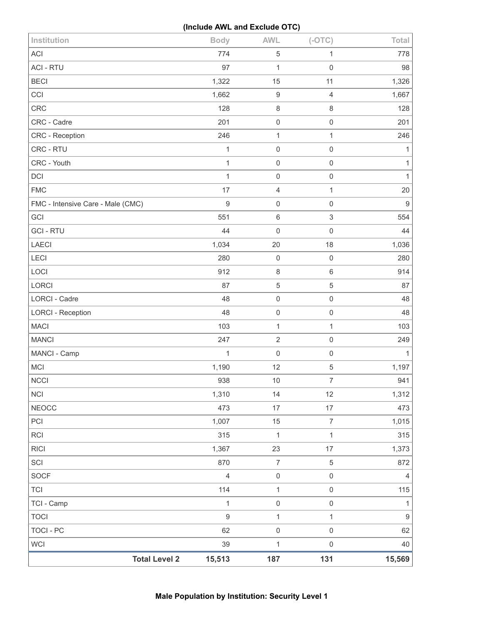## **(Include AWL and Exclude OTC)**

| Institution                       | <b>Body</b>      | <b>AWL</b>          | $(-OTC)$            | Total            |
|-----------------------------------|------------------|---------------------|---------------------|------------------|
| <b>ACI</b>                        | 774              | 5                   | 1                   | 778              |
| <b>ACI - RTU</b>                  | 97               | $\mathbf{1}$        | $\mathsf{O}\xspace$ | 98               |
| <b>BECI</b>                       | 1,322            | 15                  | 11                  | 1,326            |
| CCI                               | 1,662            | $\boldsymbol{9}$    | 4                   | 1,667            |
| <b>CRC</b>                        | 128              | 8                   | 8                   | 128              |
| CRC - Cadre                       | 201              | $\mathsf{O}\xspace$ | $\mathsf{O}\xspace$ | 201              |
| CRC - Reception                   | 246              | $\mathbf{1}$        | $\mathbf{1}$        | 246              |
| CRC - RTU                         | $\mathbf{1}$     | $\mathbf 0$         | $\mathsf 0$         | $\mathbf 1$      |
| CRC - Youth                       | $\mathbf{1}$     | $\mathbf 0$         | $\mathsf 0$         | $\mathbf{1}$     |
| <b>DCI</b>                        | 1                | $\mathbf 0$         | $\mathsf{O}\xspace$ | 1                |
| <b>FMC</b>                        | 17               | 4                   | $\mathbf{1}$        | 20               |
| FMC - Intensive Care - Male (CMC) | $\boldsymbol{9}$ | $\boldsymbol{0}$    | $\mathsf{O}\xspace$ | $\boldsymbol{9}$ |
| GCI                               | 551              | $\,$ 6 $\,$         | $\mathfrak{S}$      | 554              |
| <b>GCI-RTU</b>                    | 44               | $\mathbf 0$         | $\mathsf{O}\xspace$ | 44               |
| <b>LAECI</b>                      | 1,034            | 20                  | 18                  | 1,036            |
| LECI                              | 280              | $\mathbf 0$         | $\mathsf{O}\xspace$ | 280              |
| LOCI                              | 912              | 8                   | 6                   | 914              |
| LORCI                             | 87               | 5                   | $\mathbf 5$         | 87               |
| LORCI - Cadre                     | 48               | $\mathsf 0$         | $\mathsf{O}\xspace$ | 48               |
| <b>LORCI - Reception</b>          | 48               | $\boldsymbol{0}$    | $\mathsf 0$         | 48               |
| <b>MACI</b>                       | 103              | $\mathbf{1}$        | $\mathbf{1}$        | 103              |
| <b>MANCI</b>                      | 247              | $\sqrt{2}$          | $\mathsf{O}\xspace$ | 249              |
| MANCI - Camp                      | $\mathbf{1}$     | $\mathbf 0$         | $\mathsf{O}\xspace$ | $\mathbf{1}$     |
| MCI                               | 1,190            | 12                  | $\,$ 5 $\,$         | 1,197            |
| <b>NCCI</b>                       | 938              | 10                  | $\overline{7}$      | 941              |
| <b>NCI</b>                        | 1,310            | 14                  | 12                  | 1,312            |
| <b>NEOCC</b>                      | 473              | 17                  | 17                  | 473              |
| PCI                               | 1,007            | 15                  | $\overline{7}$      | 1,015            |
| <b>RCI</b>                        | 315              | $\mathbf{1}$        | $\mathbf{1}$        | 315              |
| <b>RICI</b>                       | 1,367            | 23                  | 17                  | 1,373            |
| SCI                               | 870              | $\overline{7}$      | 5                   | 872              |
| <b>SOCF</b>                       | $\sqrt{4}$       | $\mathsf{O}\xspace$ | $\mathsf{O}\xspace$ | $\overline{4}$   |
| <b>TCI</b>                        | 114              | $\mathbf{1}$        | $\mathsf{O}\xspace$ | 115              |
| TCI - Camp                        | $\mathbf{1}$     | $\mathsf{O}\xspace$ | $\mathsf{O}\xspace$ | 1                |
| <b>TOCI</b>                       | $\boldsymbol{9}$ | $\mathbf 1$         | $\mathbf{1}$        | $\boldsymbol{9}$ |
| <b>TOCI - PC</b>                  | 62               | $\mathsf{O}\xspace$ | $\mathsf{O}\xspace$ | 62               |
| <b>WCI</b>                        | 39               | $\mathbf{1}$        | $\mathsf{O}\xspace$ | 40               |
| <b>Total Level 2</b>              | 15,513           | 187                 | 131                 | 15,569           |